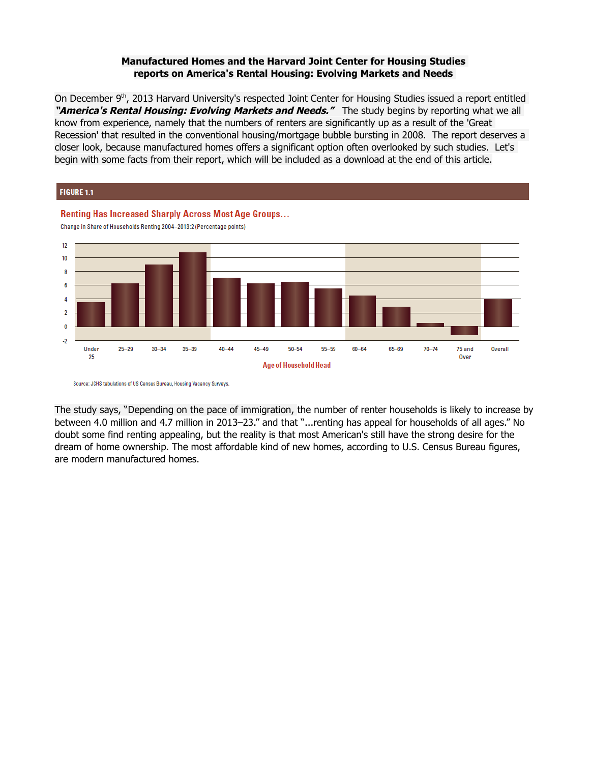## **Manufactured Homes and the Harvard Joint Center for Housing Studies reports on America's Rental Housing: Evolving Markets and Needs**

On December 9<sup>th</sup>, 2013 Harvard University's respected Joint Center for Housing Studies issued a report entitled "**America's Rental Housing: Evolving Markets and Needs."** The study begins by reporting what we all know from experience, namely that the numbers of renters are significantly up as a result of the 'Great Recession' that resulted in the conventional housing/mortgage bubble bursting in 2008. The report deserves a closer look, because manufactured homes offers a significant option often overlooked by such studies. Let's begin with some facts from their report, which will be included as a download at the end of this article.



Source: JCHS tabulations of US Census Bureau, Housing Vacancy Surveys.

The study says, "Depending on the pace of immigration, the number of renter households is likely to increase by between 4.0 million and 4.7 million in 2013–23." and that "...renting has appeal for households of all ages." No doubt some find renting appealing, but the reality is that most American's still have the strong desire for the dream of home ownership. The most affordable kind of new homes, according to U.S. Census Bureau figures, are modern manufactured homes.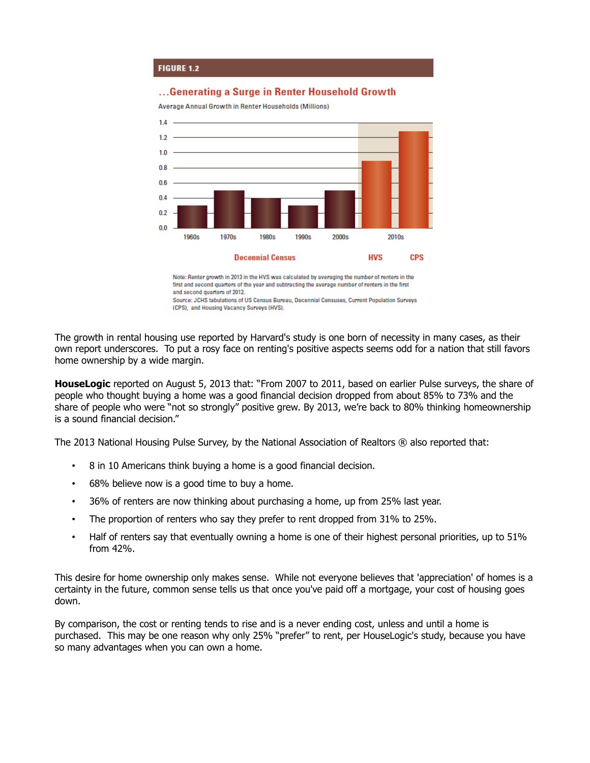

## ...Generating a Surge in Renter Household Growth

Average Annual Growth in Renter Households (Millions)



Note: Renter growth in 2013 in the HVS was calculated by averaging the number of renters in the first and second quarters of the year and subtracting the average number of renters in the first and second quarters of 2012. Source: JCHS tabulations of US Census Bureau, Decennial Censuses, Current Population Surveys (CPS), and Housing Vacancy Surveys (HVS).

The growth in rental housing use reported by Harvard's study is one born of necessity in many cases, as their own report underscores. To put a rosy face on renting's positive aspects seems odd for a nation that still favors home ownership by a wide margin.

**HouseLogic** reported on August 5, 2013 that: "From 2007 to 2011, based on earlier Pulse surveys, the share of people who thought buying a home was a good financial decision dropped from about 85% to 73% and the share of people who were "not so strongly" positive grew. By 2013, we're back to 80% thinking homeownership is a sound financial decision."

The 2013 National Housing Pulse Survey, by the National Association of Realtors ® also reported that:

- 8 in 10 Americans think buying a home is a good financial decision.
- 68% believe now is a good time to buy a home.
- 36% of renters are now thinking about purchasing a home, up from 25% last year.
- The proportion of renters who say they prefer to rent dropped from 31% to 25%.
- Half of renters say that eventually owning a home is one of their highest personal priorities, up to 51% from 42%.

This desire for home ownership only makes sense. While not everyone believes that 'appreciation' of homes is a certainty in the future, common sense tells us that once you've paid off a mortgage, your cost of housing goes down.

By comparison, the cost or renting tends to rise and is a never ending cost, unless and until a home is purchased. This may be one reason why only 25% "prefer" to rent, per HouseLogic's study, because you have so many advantages when you can own a home.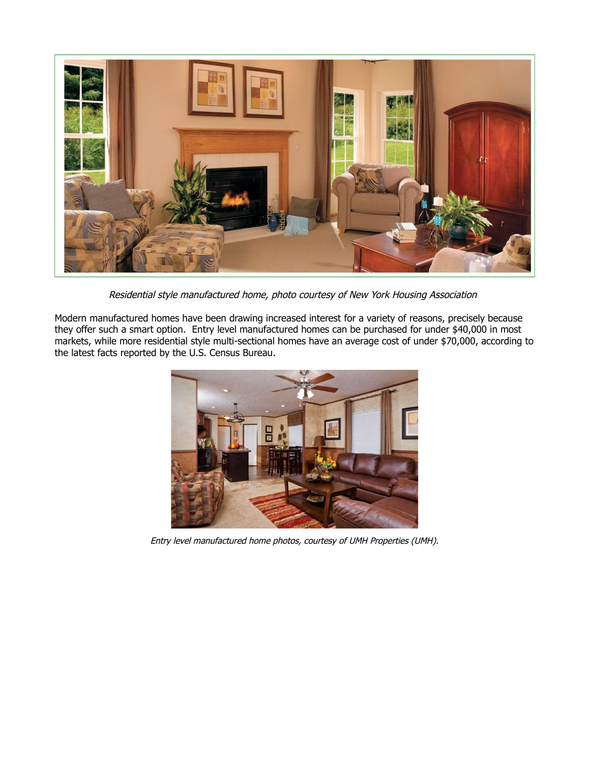

Residential style manufactured home, photo courtesy of New York Housing Association

Modern manufactured homes have been drawing increased interest for a variety of reasons, precisely because they offer such a smart option. Entry level manufactured homes can be purchased for under \$40,000 in most markets, while more residential style multi-sectional homes have an average cost of under \$70,000, according to the latest facts reported by the U.S. Census Bureau.



Entry level manufactured home photos, courtesy of UMH Properties (UMH).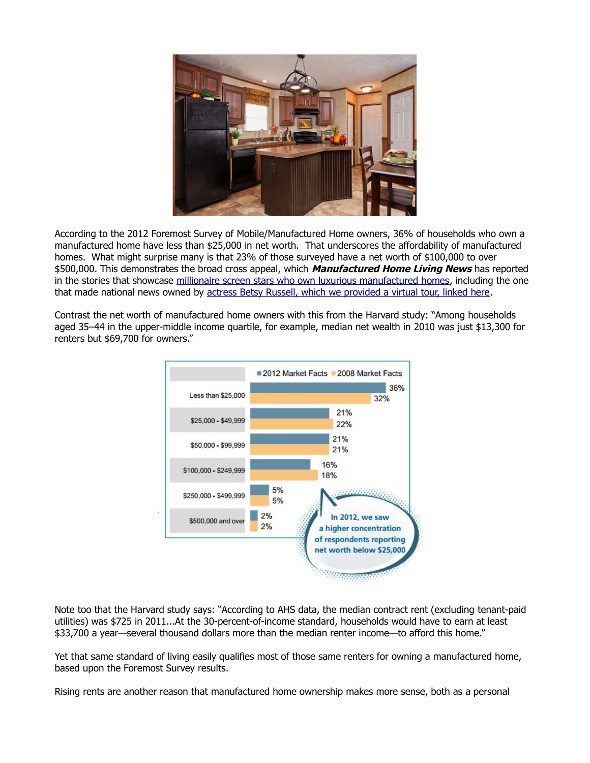

According to the 2012 Foremost Survey of Mobile/Manufactured Home owners, 36% of households who own a manufactured home have less than \$25,000 in net worth. That underscores the affordability of manufactured homes. What might surprise many is that 23% of those surveyed have a net worth of \$100,000 to over \$500,000. This demonstrates the broad cross appeal, which **Manufactured Home Living News** has reported in the stories that showcase [millionaire screen stars who own luxurious manufactured homes,](http://manufacturedhomelivingnews.com/what-do-actors-pamela-anderson-matthew-mcconaughey-and-minnie-drive-have-in-common-with-20-million-americans-living-in-manufactured-homes/) including the one that made national news owned by [actress Betsy Russell, which we provided a virtual tour, linked here.](http://manufacturedhomelivingnews.com/saws-betsy-russells-2-million-dollar-manufactured-home-a-bargain-but-tmzmedia-dont-get-it/)

Contrast the net worth of manufactured home owners with this from the Harvard study: "Among households aged 35–44 in the upper-middle income quartile, for example, median net wealth in 2010 was just \$13,300 for renters but \$69,700 for owners."



Note too that the Harvard study says: "According to AHS data, the median contract rent (excluding tenant-paid utilities) was \$725 in 2011...At the 30-percent-of-income standard, households would have to earn at least \$33,700 a year—several thousand dollars more than the median renter income—to afford this home."

Yet that same standard of living easily qualifies most of those same renters for owning a manufactured home, based upon the Foremost Survey results.

Rising rents are another reason that manufactured home ownership makes more sense, both as a personal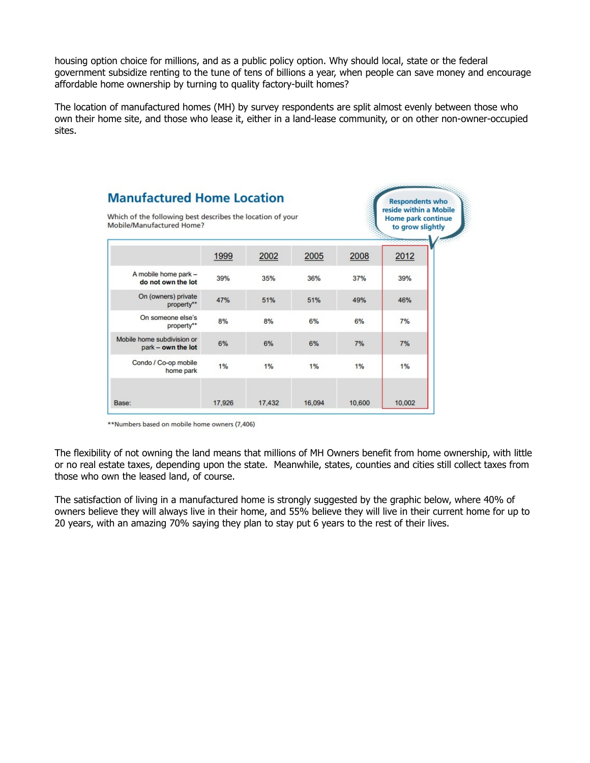housing option choice for millions, and as a public policy option. Why should local, state or the federal government subsidize renting to the tune of tens of billions a year, when people can save money and encourage affordable home ownership by turning to quality factory-built homes?

The location of manufactured homes (MH) by survey respondents are split almost evenly between those who own their home site, and those who lease it, either in a land-lease community, or on other non-owner-occupied sites.



\*\*Numbers based on mobile home owners (7,406)

The flexibility of not owning the land means that millions of MH Owners benefit from home ownership, with little or no real estate taxes, depending upon the state. Meanwhile, states, counties and cities still collect taxes from those who own the leased land, of course.

The satisfaction of living in a manufactured home is strongly suggested by the graphic below, where 40% of owners believe they will always live in their home, and 55% believe they will live in their current home for up to 20 years, with an amazing 70% saying they plan to stay put 6 years to the rest of their lives.